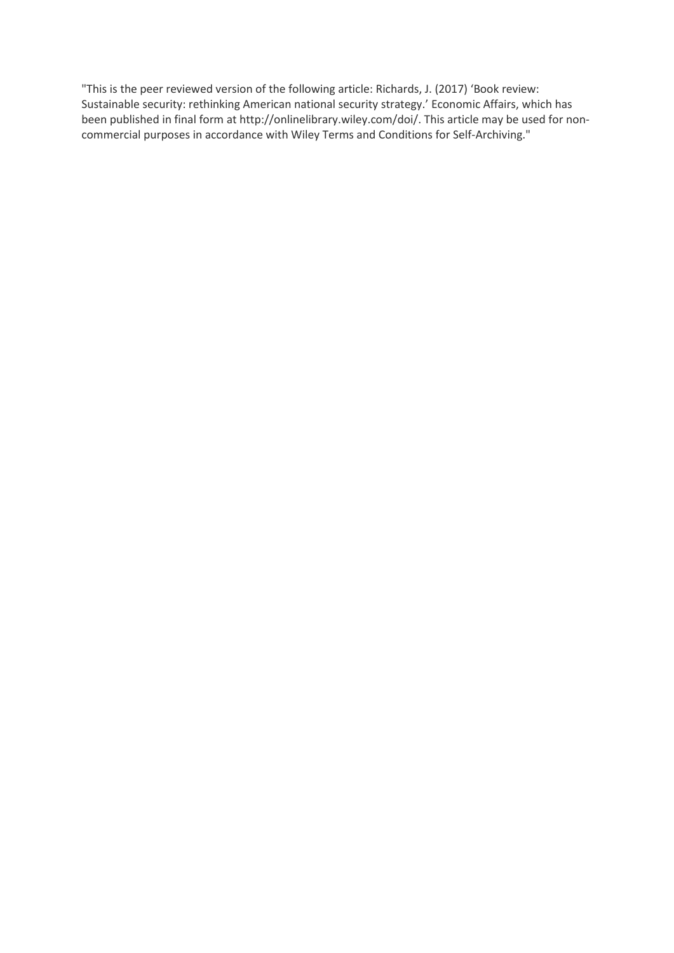"This is the peer reviewed version of the following article: Richards, J. (2017) 'Book review: Sustainable security: rethinking American national security strategy.' Economic Affairs, which has been published in final form at http://onlinelibrary.wiley.com/doi/. This article may be used for noncommercial purposes in accordance with Wiley Terms and Conditions for Self-Archiving."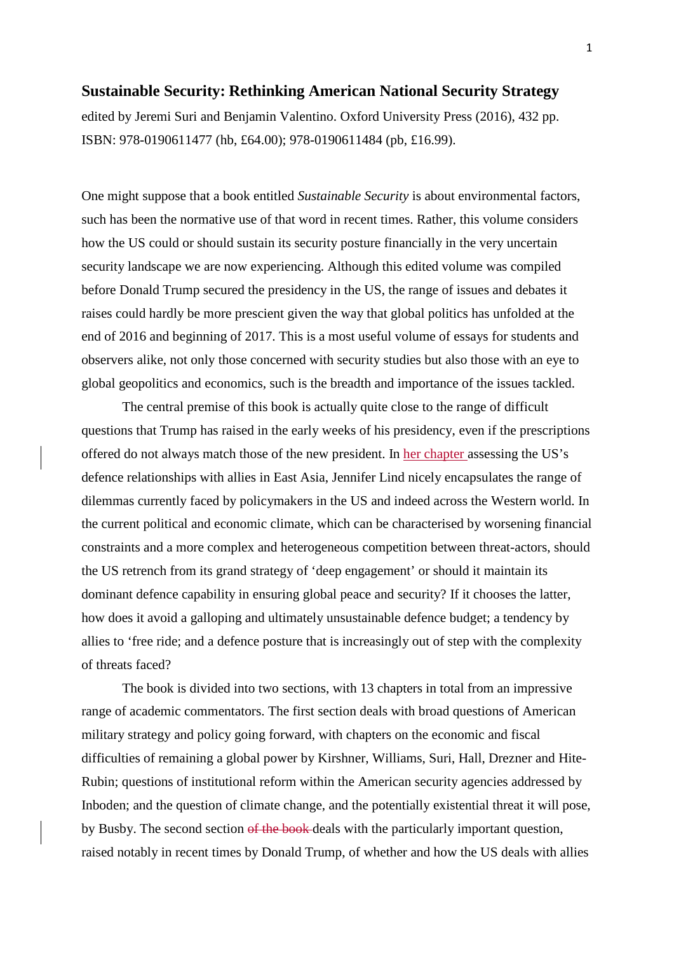## **Sustainable Security: Rethinking American National Security Strategy**

edited by Jeremi Suri and Benjamin Valentino. Oxford University Press (2016), 432 pp. ISBN: 978-0190611477 (hb, £64.00); 978-0190611484 (pb, £16.99).

One might suppose that a book entitled *Sustainable Security* is about environmental factors, such has been the normative use of that word in recent times. Rather, this volume considers how the US could or should sustain its security posture financially in the very uncertain security landscape we are now experiencing. Although this edited volume was compiled before Donald Trump secured the presidency in the US, the range of issues and debates it raises could hardly be more prescient given the way that global politics has unfolded at the end of 2016 and beginning of 2017. This is a most useful volume of essays for students and observers alike, not only those concerned with security studies but also those with an eye to global geopolitics and economics, such is the breadth and importance of the issues tackled.

The central premise of this book is actually quite close to the range of difficult questions that Trump has raised in the early weeks of his presidency, even if the prescriptions offered do not always match those of the new president. In her chapter assessing the US's defence relationships with allies in East Asia, Jennifer Lind nicely encapsulates the range of dilemmas currently faced by policymakers in the US and indeed across the Western world. In the current political and economic climate, which can be characterised by worsening financial constraints and a more complex and heterogeneous competition between threat-actors, should the US retrench from its grand strategy of 'deep engagement' or should it maintain its dominant defence capability in ensuring global peace and security? If it chooses the latter, how does it avoid a galloping and ultimately unsustainable defence budget; a tendency by allies to 'free ride; and a defence posture that is increasingly out of step with the complexity of threats faced?

The book is divided into two sections, with 13 chapters in total from an impressive range of academic commentators. The first section deals with broad questions of American military strategy and policy going forward, with chapters on the economic and fiscal difficulties of remaining a global power by Kirshner, Williams, Suri, Hall, Drezner and Hite-Rubin; questions of institutional reform within the American security agencies addressed by Inboden; and the question of climate change, and the potentially existential threat it will pose, by Busby. The second section of the book deals with the particularly important question, raised notably in recent times by Donald Trump, of whether and how the US deals with allies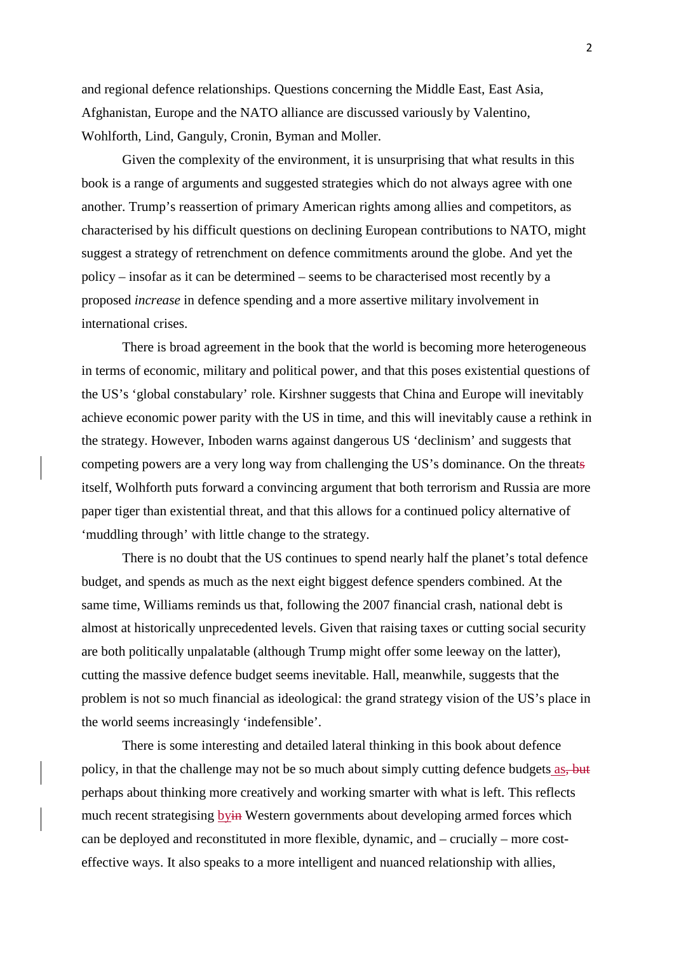and regional defence relationships. Questions concerning the Middle East, East Asia, Afghanistan, Europe and the NATO alliance are discussed variously by Valentino, Wohlforth, Lind, Ganguly, Cronin, Byman and Moller.

Given the complexity of the environment, it is unsurprising that what results in this book is a range of arguments and suggested strategies which do not always agree with one another. Trump's reassertion of primary American rights among allies and competitors, as characterised by his difficult questions on declining European contributions to NATO, might suggest a strategy of retrenchment on defence commitments around the globe. And yet the policy – insofar as it can be determined – seems to be characterised most recently by a proposed *increase* in defence spending and a more assertive military involvement in international crises.

There is broad agreement in the book that the world is becoming more heterogeneous in terms of economic, military and political power, and that this poses existential questions of the US's 'global constabulary' role. Kirshner suggests that China and Europe will inevitably achieve economic power parity with the US in time, and this will inevitably cause a rethink in the strategy. However, Inboden warns against dangerous US 'declinism' and suggests that competing powers are a very long way from challenging the US's dominance. On the threats itself, Wolhforth puts forward a convincing argument that both terrorism and Russia are more paper tiger than existential threat, and that this allows for a continued policy alternative of 'muddling through' with little change to the strategy.

There is no doubt that the US continues to spend nearly half the planet's total defence budget, and spends as much as the next eight biggest defence spenders combined. At the same time, Williams reminds us that, following the 2007 financial crash, national debt is almost at historically unprecedented levels. Given that raising taxes or cutting social security are both politically unpalatable (although Trump might offer some leeway on the latter), cutting the massive defence budget seems inevitable. Hall, meanwhile, suggests that the problem is not so much financial as ideological: the grand strategy vision of the US's place in the world seems increasingly 'indefensible'.

There is some interesting and detailed lateral thinking in this book about defence policy, in that the challenge may not be so much about simply cutting defence budgets as, but perhaps about thinking more creatively and working smarter with what is left. This reflects much recent strategising byin Western governments about developing armed forces which can be deployed and reconstituted in more flexible, dynamic, and – crucially – more costeffective ways. It also speaks to a more intelligent and nuanced relationship with allies,